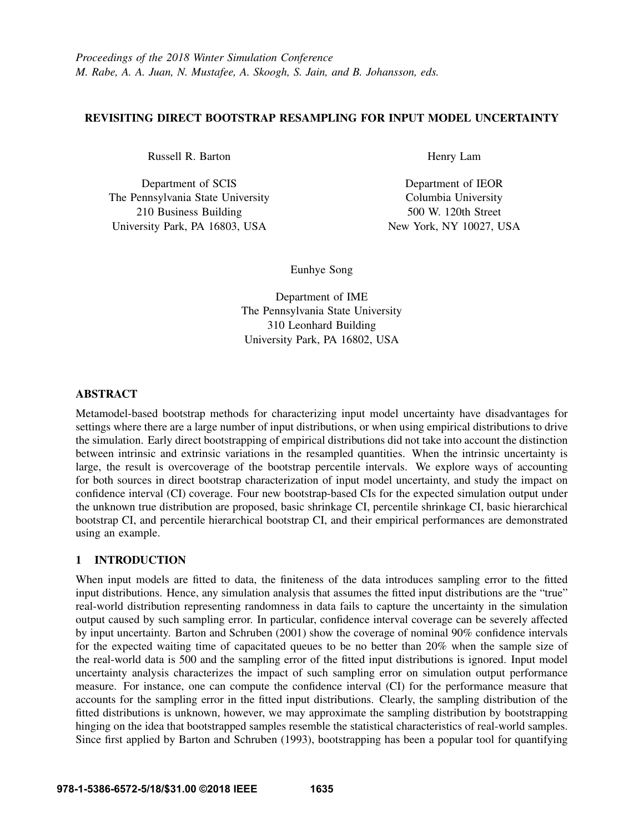# REVISITING DIRECT BOOTSTRAP RESAMPLING FOR INPUT MODEL UNCERTAINTY

Russell R. Barton

Department of SCIS The Pennsylvania State University 210 Business Building University Park, PA 16803, USA

Henry Lam

Department of IEOR Columbia University 500 W. 120th Street New York, NY 10027, USA

Eunhye Song

Department of IME The Pennsylvania State University 310 Leonhard Building University Park, PA 16802, USA

# ABSTRACT

Metamodel-based bootstrap methods for characterizing input model uncertainty have disadvantages for settings where there are a large number of input distributions, or when using empirical distributions to drive the simulation. Early direct bootstrapping of empirical distributions did not take into account the distinction between intrinsic and extrinsic variations in the resampled quantities. When the intrinsic uncertainty is large, the result is overcoverage of the bootstrap percentile intervals. We explore ways of accounting for both sources in direct bootstrap characterization of input model uncertainty, and study the impact on confidence interval (CI) coverage. Four new bootstrap-based CIs for the expected simulation output under the unknown true distribution are proposed, basic shrinkage CI, percentile shrinkage CI, basic hierarchical bootstrap CI, and percentile hierarchical bootstrap CI, and their empirical performances are demonstrated using an example.

# 1 INTRODUCTION

When input models are fitted to data, the finiteness of the data introduces sampling error to the fitted input distributions. Hence, any simulation analysis that assumes the fitted input distributions are the "true" real-world distribution representing randomness in data fails to capture the uncertainty in the simulation output caused by such sampling error. In particular, confidence interval coverage can be severely affected by input uncertainty. Barton and Schruben (2001) show the coverage of nominal 90% confidence intervals for the expected waiting time of capacitated queues to be no better than 20% when the sample size of the real-world data is 500 and the sampling error of the fitted input distributions is ignored. Input model uncertainty analysis characterizes the impact of such sampling error on simulation output performance measure. For instance, one can compute the confidence interval (CI) for the performance measure that accounts for the sampling error in the fitted input distributions. Clearly, the sampling distribution of the fitted distributions is unknown, however, we may approximate the sampling distribution by bootstrapping hinging on the idea that bootstrapped samples resemble the statistical characteristics of real-world samples. Since first applied by Barton and Schruben (1993), bootstrapping has been a popular tool for quantifying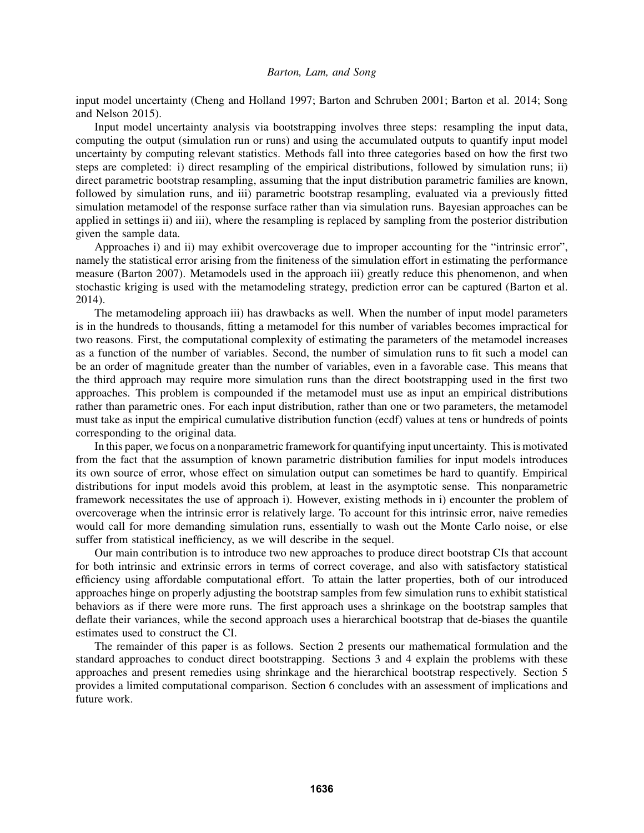input model uncertainty (Cheng and Holland 1997; Barton and Schruben 2001; Barton et al. 2014; Song and Nelson 2015).

Input model uncertainty analysis via bootstrapping involves three steps: resampling the input data, computing the output (simulation run or runs) and using the accumulated outputs to quantify input model uncertainty by computing relevant statistics. Methods fall into three categories based on how the first two steps are completed: i) direct resampling of the empirical distributions, followed by simulation runs; ii) direct parametric bootstrap resampling, assuming that the input distribution parametric families are known, followed by simulation runs, and iii) parametric bootstrap resampling, evaluated via a previously fitted simulation metamodel of the response surface rather than via simulation runs. Bayesian approaches can be applied in settings ii) and iii), where the resampling is replaced by sampling from the posterior distribution given the sample data.

Approaches i) and ii) may exhibit overcoverage due to improper accounting for the "intrinsic error", namely the statistical error arising from the finiteness of the simulation effort in estimating the performance measure (Barton 2007). Metamodels used in the approach iii) greatly reduce this phenomenon, and when stochastic kriging is used with the metamodeling strategy, prediction error can be captured (Barton et al. 2014).

The metamodeling approach iii) has drawbacks as well. When the number of input model parameters is in the hundreds to thousands, fitting a metamodel for this number of variables becomes impractical for two reasons. First, the computational complexity of estimating the parameters of the metamodel increases as a function of the number of variables. Second, the number of simulation runs to fit such a model can be an order of magnitude greater than the number of variables, even in a favorable case. This means that the third approach may require more simulation runs than the direct bootstrapping used in the first two approaches. This problem is compounded if the metamodel must use as input an empirical distributions rather than parametric ones. For each input distribution, rather than one or two parameters, the metamodel must take as input the empirical cumulative distribution function (ecdf) values at tens or hundreds of points corresponding to the original data.

In this paper, we focus on a nonparametric framework for quantifying input uncertainty. This is motivated from the fact that the assumption of known parametric distribution families for input models introduces its own source of error, whose effect on simulation output can sometimes be hard to quantify. Empirical distributions for input models avoid this problem, at least in the asymptotic sense. This nonparametric framework necessitates the use of approach i). However, existing methods in i) encounter the problem of overcoverage when the intrinsic error is relatively large. To account for this intrinsic error, naive remedies would call for more demanding simulation runs, essentially to wash out the Monte Carlo noise, or else suffer from statistical inefficiency, as we will describe in the sequel.

Our main contribution is to introduce two new approaches to produce direct bootstrap CIs that account for both intrinsic and extrinsic errors in terms of correct coverage, and also with satisfactory statistical efficiency using affordable computational effort. To attain the latter properties, both of our introduced approaches hinge on properly adjusting the bootstrap samples from few simulation runs to exhibit statistical behaviors as if there were more runs. The first approach uses a shrinkage on the bootstrap samples that deflate their variances, while the second approach uses a hierarchical bootstrap that de-biases the quantile estimates used to construct the CI.

The remainder of this paper is as follows. Section 2 presents our mathematical formulation and the standard approaches to conduct direct bootstrapping. Sections 3 and 4 explain the problems with these approaches and present remedies using shrinkage and the hierarchical bootstrap respectively. Section 5 provides a limited computational comparison. Section 6 concludes with an assessment of implications and future work.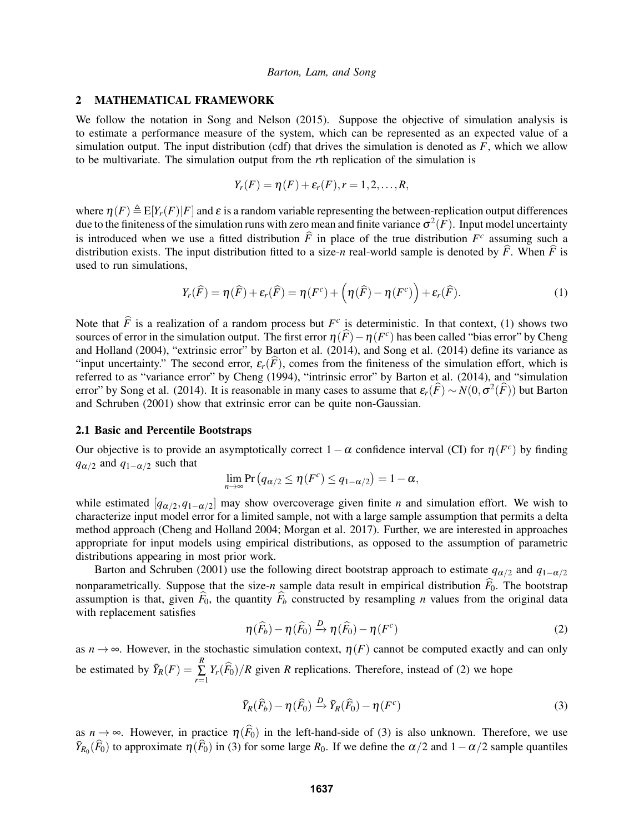### 2 MATHEMATICAL FRAMEWORK

We follow the notation in Song and Nelson (2015). Suppose the objective of simulation analysis is to estimate a performance measure of the system, which can be represented as an expected value of a simulation output. The input distribution (cdf) that drives the simulation is denoted as *F*, which we allow to be multivariate. The simulation output from the *r*th replication of the simulation is

$$
Y_r(F) = \eta(F) + \varepsilon_r(F), r = 1, 2, \ldots, R,
$$

where  $\eta(F) \triangleq E[Y_r(F)|F]$  and  $\varepsilon$  is a random variable representing the between-replication output differences due to the finiteness of the simulation runs with zero mean and finite variance  $\sigma^2(F)$ . Input model uncertainty is introduced when we use a fitted distribution  $\hat{F}$  in place of the true distribution  $F^c$  assuming such a distribution of the true distribution of the true distribution of the set of the set of the set of the set of distribution exists. The input distribution fitted to a size-*n* real-world sample is denoted by  $\hat{F}$ . When  $\hat{F}$  is used to run simulations,

$$
Y_r(\widehat{F}) = \eta(\widehat{F}) + \varepsilon_r(\widehat{F}) = \eta(F^c) + \left(\eta(\widehat{F}) - \eta(F^c)\right) + \varepsilon_r(\widehat{F}).
$$
\n(1)

Note that  $\hat{F}$  is a realization of a random process but  $F^c$  is deterministic. In that context, (1) shows two sources of error in the simulation output. The first error  $\eta(\widehat{F})-\eta(F^c)$  has been called "bias error" by Cheng and Holland (2004), "extrinsic error" by Barton et al. (2014), and Song et al. (2014) define its variance as "input uncertainty." The second error,  $\varepsilon_r(\hat{F})$ , comes from the finiteness of the simulation effort, which is referred to as "variance error" by Cheng (1994), "intrinsic error" by Barton et al. (2014), and "simulation error" by Song et al. (2014). It is reasonable in many cases to assume that  $\varepsilon_r(\widehat{F}) \sim N(0, \sigma^2(\widehat{F}))$  but Barton and Schruben (2001) show that extrinsic error can be quite non-Gaussian.

#### 2.1 Basic and Percentile Bootstraps

Our objective is to provide an asymptotically correct  $1 - \alpha$  confidence interval (CI) for  $\eta(F^c)$  by finding  $q_{\alpha/2}$  and  $q_{1-\alpha/2}$  such that

$$
\lim_{n\to\infty}\Pr(q_{\alpha/2}\leq \eta(F^c)\leq q_{1-\alpha/2})=1-\alpha,
$$

while estimated  $[q_{\alpha/2}, q_{1-\alpha/2}]$  may show overcoverage given finite *n* and simulation effort. We wish to characterize input model error for a limited sample, not with a large sample assumption that permits a delta method approach (Cheng and Holland 2004; Morgan et al. 2017). Further, we are interested in approaches appropriate for input models using empirical distributions, as opposed to the assumption of parametric distributions appearing in most prior work.

Barton and Schruben (2001) use the following direct bootstrap approach to estimate  $q_{\alpha/2}$  and  $q_{1-\alpha/2}$ nonparametrically. Suppose that the size-*n* sample data result in empirical distribution  $\hat{F}_0$ . The bootstrap assumption is that, given  $\hat{F}_0$ , the quantity  $\hat{F}_b$  constructed by resampling *n* values from the original data with replacement satisfies

$$
\eta(\widehat{F}_b) - \eta(\widehat{F}_0) \xrightarrow{D} \eta(\widehat{F}_0) - \eta(F^c)
$$
\n(2)

as  $n \to \infty$ . However, in the stochastic simulation context,  $\eta(F)$  cannot be computed exactly and can only be estimated by  $\bar{Y}_R(F) = \sum_{n=1}^{R}$  $\sum_{r=1} Y_r(F_0)/R$  given *R* replications. Therefore, instead of (2) we hope

$$
\bar{Y}_R(\widehat{F}_b) - \eta(\widehat{F}_0) \xrightarrow{D} \bar{Y}_R(\widehat{F}_0) - \eta(F^c)
$$
\n(3)

as  $n \to \infty$ . However, in practice  $\eta(\widehat{F}_0)$  in the left-hand-side of (3) is also unknown. Therefore, we use  $\bar{Y}_{R_0}(\widehat{F}_0)$  to approximate  $\eta(\widehat{F}_0)$  in (3) for some large  $R_0$ . If we define the  $\alpha/2$  and  $1-\alpha/2$  sample quantiles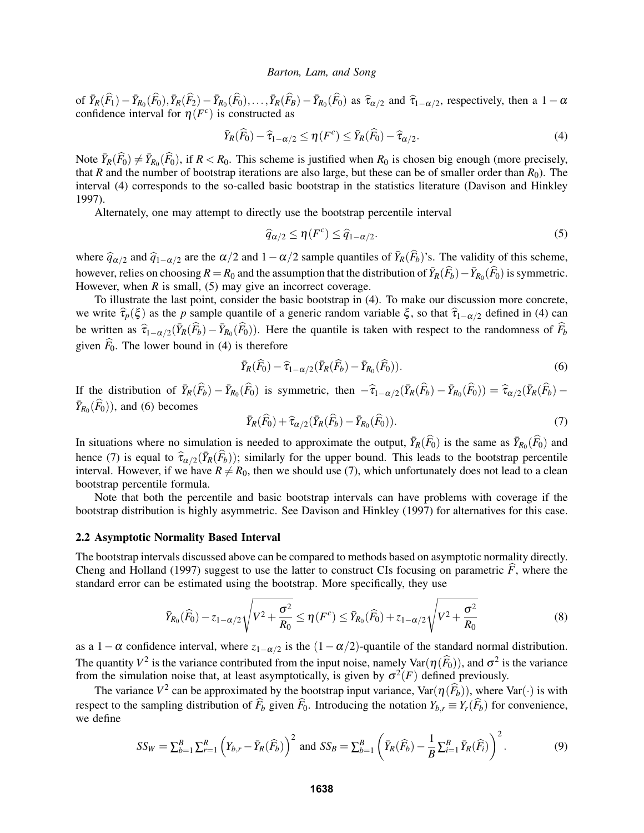of  $\bar{Y}_R(\hat{F}_1) - \bar{Y}_{R_0}(\hat{F}_0), \bar{Y}_R(\hat{F}_2) - \bar{Y}_{R_0}(\hat{F}_0), \dots, \bar{Y}_R(\hat{F}_B) - \bar{Y}_{R_0}(\hat{F}_0)$  as  $\hat{\tau}_{\alpha/2}$  and  $\hat{\tau}_{1-\alpha/2}$ , respectively, then a  $1-\alpha$ <br>confidence interval for  $\eta(F^c)$  is constructed as confidence interval for  $\eta(F^c)$  is constructed as

$$
\bar{Y}_R(\widehat{F}_0) - \widehat{\tau}_{1-\alpha/2} \le \eta(F^c) \le \bar{Y}_R(\widehat{F}_0) - \widehat{\tau}_{\alpha/2}.
$$
\n(4)

Note  $\bar{Y}_R(\widehat{F}_0) \neq \bar{Y}_{R_0}(\widehat{F}_0)$ , if  $R < R_0$ . This scheme is justified when  $R_0$  is chosen big enough (more precisely, that *R* and the number of bootstrap iterations are also large, but these can be of smaller order than  $R_0$ ). The interval (4) corresponds to the so-called basic bootstrap in the statistics literature (Davison and Hinkley 1997).

Alternately, one may attempt to directly use the bootstrap percentile interval

$$
\widehat{q}_{\alpha/2} \le \eta(F^c) \le \widehat{q}_{1-\alpha/2}.\tag{5}
$$

where  $\hat{q}_{\alpha/2}$  and  $\hat{q}_{1-\alpha/2}$  are the  $\alpha/2$  and  $1-\alpha/2$  sample quantiles of  $\bar{Y}_R(\hat{F}_b)$ 's. The validity of this scheme, however, relies on choosing  $R = R_0$  and the assumption that the distribution of  $\bar{Y}_R(\hat{F}_b) - \bar{Y}_{R_0}(\hat{F}_0)$  is symmetric. However, when  $R$  is small, (5) may give an incorrect coverage.

To illustrate the last point, consider the basic bootstrap in (4). To make our discussion more concrete, we write  $\hat{\tau}_p(\xi)$  as the *p* sample quantile of a generic random variable  $\xi$ , so that  $\hat{\tau}_{1-\alpha/2}$  defined in (4) can be written as  $\hat{\tau}_{1-\alpha/2}(\bar{Y}_R(\hat{F}_b)-\bar{Y}_{R_0}(\hat{F}_0))$ . Here the quantile is taken with respect to the randomness of  $\hat{F}_b$ given  $\widehat{F}_0$ . The lower bound in (4) is therefore

$$
\bar{Y}_R(\widehat{F}_0) - \widehat{\tau}_{1-\alpha/2}(\bar{Y}_R(\widehat{F}_b) - \bar{Y}_{R_0}(\widehat{F}_0)).
$$
\n
$$
\tag{6}
$$

If the distribution of  $\bar{Y}_R(\hat{F}_b) - \bar{Y}_{R_0}(\hat{F}_0)$  is symmetric, then  $-\hat{\tau}_{1-\alpha/2}(\bar{Y}_R(\hat{F}_b) - \bar{Y}_{R_0}(\hat{F}_0)) = \hat{\tau}_{\alpha/2}(\bar{Y}_R(\hat{F}_b) - \bar{Y}_{R_0}(\hat{F}_0))$  $\bar{Y}_{R_0}(\widehat{F}_0)$ , and (6) becomes

$$
\bar{Y}_R(\widehat{F}_0) + \widehat{\tau}_{\alpha/2}(\bar{Y}_R(\widehat{F}_b) - \bar{Y}_{R_0}(\widehat{F}_0)).
$$
\n<sup>(7)</sup>

In situations where no simulation is needed to approximate the output,  $\bar{Y}_R(\hat{F}_0)$  is the same as  $\bar{Y}_{R_0}(\hat{F}_0)$  and hence (7) is equal to  $\hat{\tau}_{\alpha/2}(\bar{Y}_R(\hat{F}_b))$ ; similarly for the upper bound. This leads to the bootstrap percentile<br>interval. However, if we have  $P \neq P_2$ , then we should use (7) which upfortunately does not lead to a interval. However, if we have  $R \neq R_0$ , then we should use (7), which unfortunately does not lead to a clean bootstrap percentile formula.

Note that both the percentile and basic bootstrap intervals can have problems with coverage if the bootstrap distribution is highly asymmetric. See Davison and Hinkley (1997) for alternatives for this case.

## 2.2 Asymptotic Normality Based Interval

The bootstrap intervals discussed above can be compared to methods based on asymptotic normality directly. Cheng and Holland (1997) suggest to use the latter to construct CIs focusing on parametric  $\vec{F}$ , where the standard error can be estimated using the bootstrap. More specifically, they use

$$
\bar{Y}_{R_0}(\widehat{F}_0) - z_{1-\alpha/2} \sqrt{V^2 + \frac{\sigma^2}{R_0}} \le \eta(F^c) \le \bar{Y}_{R_0}(\widehat{F}_0) + z_{1-\alpha/2} \sqrt{V^2 + \frac{\sigma^2}{R_0}}
$$
\n(8)

as a  $1-\alpha$  confidence interval, where  $z_{1-\alpha/2}$  is the  $(1-\alpha/2)$ -quantile of the standard normal distribution. The quantity  $V^2$  is the variance contributed from the input noise, namely  $\text{Var}(\eta(\widehat{F}_0))$ , and  $\sigma^2$  is the variance from the simulation noise that, at least asymptotically, is given by  $\sigma^2(F)$  defined previously.

The variance  $V^2$  can be approximated by the bootstrap input variance,  $\text{Var}(\eta(\widehat{F}_b))$ , where  $\text{Var}(\cdot)$  is with respect to the sampling distribution of  $\hat{F}_b$  given  $\hat{F}_0$ . Introducing the notation  $Y_{b,r} \equiv Y_r(\hat{F}_b)$  for convenience, we define

$$
SS_W = \sum_{b=1}^B \sum_{r=1}^R \left( Y_{b,r} - \bar{Y}_R(\widehat{F}_b) \right)^2 \text{ and } SS_B = \sum_{b=1}^B \left( \bar{Y}_R(\widehat{F}_b) - \frac{1}{B} \sum_{i=1}^B \bar{Y}_R(\widehat{F}_i) \right)^2. \tag{9}
$$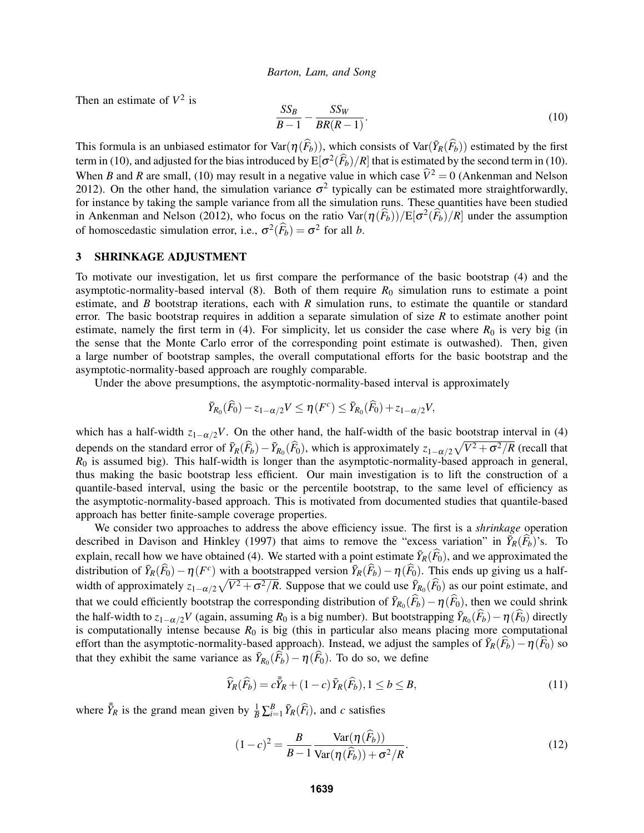Then an estimate of  $V^2$  is

$$
\frac{SS_B}{B-1} - \frac{SS_W}{BR(R-1)}.\tag{10}
$$

This formula is an unbiased estimator for  $\text{Var}(\eta(\widehat{F}_b))$ , which consists of  $\text{Var}(\overline{Y}_R(\widehat{F}_b))$  estimated by the first term in (10), and adjusted for the bias introduced by  $E[\sigma^2(\widehat{F}_b)/R]$  that is estimated by the second term in (10). When *B* and *R* are small, (10) may result in a negative value in which case  $\hat{V}^2 = 0$  (Ankenman and Nelson 2012). On the other hand, the simulation variance  $\sigma^2$  typically can be estimated more straightforwardly, for instance by taking the sample variance from all the simulation runs. These quantities have been studied in Ankenman and Nelson (2012), who focus on the ratio  $\text{Var}(\eta(\widehat{F}_b))/E[\sigma^2(\widehat{F}_b)/R]$  under the assumption of homoscedastic simulation error, i.e.,  $\sigma^2(\widehat{F}_b) = \sigma^2$  for all *b*.

## 3 SHRINKAGE ADJUSTMENT

To motivate our investigation, let us first compare the performance of the basic bootstrap (4) and the asymptotic-normality-based interval  $(8)$ . Both of them require  $R_0$  simulation runs to estimate a point estimate, and *B* bootstrap iterations, each with *R* simulation runs, to estimate the quantile or standard error. The basic bootstrap requires in addition a separate simulation of size *R* to estimate another point estimate, namely the first term in (4). For simplicity, let us consider the case where  $R_0$  is very big (in the sense that the Monte Carlo error of the corresponding point estimate is outwashed). Then, given a large number of bootstrap samples, the overall computational efforts for the basic bootstrap and the asymptotic-normality-based approach are roughly comparable.

Under the above presumptions, the asymptotic-normality-based interval is approximately

$$
\bar{Y}_{R_0}(\widehat{F}_0)-z_{1-\alpha/2}V\leq \eta(F^c)\leq \bar{Y}_{R_0}(\widehat{F}_0)+z_{1-\alpha/2}V,
$$

which has a half-width  $z_{1-\alpha/2}V$ . On the other hand, the half-width of the basic bootstrap interval in (4) depends on the standard error of  $\bar{Y}_R(\hat{F}_b) - \bar{Y}_{R_0}(\hat{F}_0)$ , which is approximately  $z_{1-\alpha/2}\sqrt{V^2 + \sigma^2/R}$  (recall that  $R_0$  is assumed big). This half-width is longer than the asymptotic-normality-based approach in general, thus making the basic bootstrap less efficient. Our main investigation is to lift the construction of a quantile-based interval, using the basic or the percentile bootstrap, to the same level of efficiency as the asymptotic-normality-based approach. This is motivated from documented studies that quantile-based approach has better finite-sample coverage properties.

We consider two approaches to address the above efficiency issue. The first is a *shrinkage* operation described in Davison and Hinkley (1997) that aims to remove the "excess variation" in  $\bar{Y}_R(\widehat{F}_b)$ 's. To explain, recall how we have obtained (4). We started with a point estimate  $\bar{Y}_R(\widehat{F}_0)$ , and we approximated the distribution of  $\bar{Y}_R(\hat{F}_0) - \eta(F^c)$  with a bootstrapped version  $\bar{Y}_R(\hat{F}_b) - \eta(\hat{F}_0)$ . This ends up giving us a halfwidth of approximately  $z_{1-\alpha/2}\sqrt{V^2+\sigma^2/R}$ . Suppose that we could use  $\bar{Y}_{R_0}(\hat{F}_0)$  as our point estimate, and that we could efficiently bootstrap the corresponding distribution of  $\bar{Y}_{R_0}(\hat{F}_b) - \eta(\hat{F}_0)$ , then we could shrink the half-width to  $z_{1-\alpha/2}V$  (again, assuming  $R_0$  is a big number). But bootstrapping  $\bar{Y}_{R_0}(\widehat{F}_b) - \eta(\widehat{F}_0)$  directly is computationally intense because  $R_0$  is big (this in particular also means placing more computational effort than the asymptotic-normality-based approach). Instead, we adjust the samples of  $\bar{Y}_R(\widehat{F}_b) - \eta(\widehat{F}_0)$  so that they exhibit the same variance as  $\bar{Y}_{R_0}(\hat{F}_b) - \eta(\hat{F}_0)$ . To do so, we define

$$
\widehat{Y}_R(\widehat{F}_b) = c\overline{\overline{Y}}_R + (1-c)\overline{Y}_R(\widehat{F}_b), 1 \le b \le B,
$$
\n(11)

where  $\bar{\bar{Y}}_R$  is the grand mean given by  $\frac{1}{B} \sum_{i=1}^B \bar{Y}_R(\widehat{F}_i)$ , and *c* satisfies

$$
(1-c)^2 = \frac{B}{B-1} \frac{\text{Var}(\eta(\widehat{F}_b))}{\text{Var}(\eta(\widehat{F}_b)) + \sigma^2/R}.
$$
\n(12)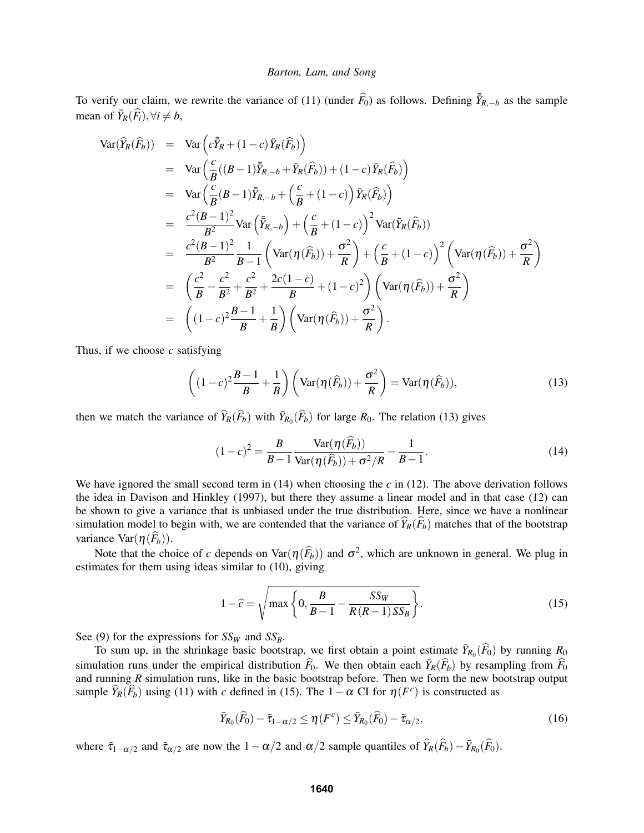To verify our claim, we rewrite the variance of (11) (under  $\widehat{F}_0$ ) as follows. Defining  $\overline{Y}_{R,-b}$  as the sample mean of  $\bar{Y}_R(\widehat{F}_i), \forall i \neq b$ ,

$$
\begin{array}{rcl}\n\text{Var}(\widehat{Y}_{R}(\widehat{F}_{b})) & = & \text{Var}\left(c\bar{Y}_{R} + (1-c)\,\bar{Y}_{R}(\widehat{F}_{b})\right) \\
& = & \text{Var}\left(\frac{c}{B}\left((B-1)\,\bar{Y}_{R,-b} + \bar{Y}_{R}(\widehat{F}_{b})\right) + (1-c)\,\bar{Y}_{R}(\widehat{F}_{b})\right) \\
& = & \text{Var}\left(\frac{c}{B}\left(B-1\right)\,\bar{Y}_{R,-b} + \left(\frac{c}{B} + (1-c)\right)\,\bar{Y}_{R}(\widehat{F}_{b})\right) \\
& = & \frac{c^{2}(B-1)^{2}}{B^{2}}\text{Var}\left(\bar{Y}_{R,-b}\right) + \left(\frac{c}{B} + (1-c)\right)^{2}\text{Var}(\bar{Y}_{R}(\widehat{F}_{b})) \\
& = & \frac{c^{2}(B-1)^{2}}{B^{2}}\frac{1}{B-1}\left(\text{Var}(\eta(\widehat{F}_{b})) + \frac{\sigma^{2}}{R}\right) + \left(\frac{c}{B} + (1-c)\right)^{2}\left(\text{Var}(\eta(\widehat{F}_{b})) + \frac{\sigma^{2}}{R}\right) \\
& = & \left(\frac{c^{2}}{B} - \frac{c^{2}}{B^{2}} + \frac{c^{2}}{B^{2}} + \frac{2c(1-c)}{B} + (1-c)^{2}\right)\left(\text{Var}(\eta(\widehat{F}_{b})) + \frac{\sigma^{2}}{R}\right) \\
& = & \left((1-c)^{2}\frac{B-1}{B} + \frac{1}{B}\right)\left(\text{Var}(\eta(\widehat{F}_{b})) + \frac{\sigma^{2}}{R}\right).\n\end{array}
$$

Thus, if we choose *c* satisfying

$$
\left((1-c)^2\frac{B-1}{B} + \frac{1}{B}\right)\left(\text{Var}(\eta(\widehat{F}_b)) + \frac{\sigma^2}{R}\right) = \text{Var}(\eta(\widehat{F}_b)),\tag{13}
$$

then we match the variance of  $\widehat{Y}_R(\widehat{F}_b)$  with  $\overline{Y}_{R_0}(\widehat{F}_b)$  for large  $R_0$ . The relation (13) gives

$$
(1-c)^{2} = \frac{B}{B-1} \frac{\text{Var}(\eta(\widehat{F}_{b}))}{\text{Var}(\eta(\widehat{F}_{b})) + \sigma^{2}/R} - \frac{1}{B-1}.
$$
 (14)

We have ignored the small second term in  $(14)$  when choosing the *c* in  $(12)$ . The above derivation follows the idea in Davison and Hinkley (1997), but there they assume a linear model and in that case (12) can be shown to give a variance that is unbiased under the true distribution. Here, since we have a nonlinear simulation model to begin with, we are contended that the variance of  $\widehat{Y}_R(\widehat{F}_b)$  matches that of the bootstrap variance  $\text{Var}(\eta(\widehat{F}_b))$ .

Note that the choice of *c* depends on  $\text{Var}(\eta(\widehat{F}_b))$  and  $\sigma^2$ , which are unknown in general. We plug in estimates for them using ideas similar to (10), giving

$$
1 - \hat{c} = \sqrt{\max\left\{0, \frac{B}{B-1} - \frac{SS_W}{R(R-1)SS_B}\right\}}.
$$
\n(15)

See (9) for the expressions for  $SS_W$  and  $SS_B$ .

To sum up, in the shrinkage basic bootstrap, we first obtain a point estimate  $\bar{Y}_{R_0}(\widehat{F}_0)$  by running  $R_0$ simulation runs under the empirical distribution  $\widehat{F}_0$ . We then obtain each  $\overline{Y}_R(\widehat{F}_b)$  by resampling from  $\widehat{F}_0$ and running *R* simulation runs, like in the basic bootstrap before. Then we form the new bootstrap output sample  $\widehat{Y}_R(\widehat{F}_b)$  using (11) with *c* defined in (15). The  $1-\alpha$  CI for  $\eta(F^c)$  is constructed as

$$
\bar{Y}_{R_0}(\widehat{F}_0) - \tilde{\tau}_{1-\alpha/2} \le \eta(F^c) \le \bar{Y}_{R_0}(\widehat{F}_0) - \tilde{\tau}_{\alpha/2},\tag{16}
$$

where  $\tilde{\tau}_{1-\alpha/2}$  and  $\tilde{\tau}_{\alpha/2}$  are now the  $1-\alpha/2$  and  $\alpha/2$  sample quantiles of  $\hat{Y}_R(\hat{F}_b) - \bar{Y}_{R_0}(\hat{F}_0)$ .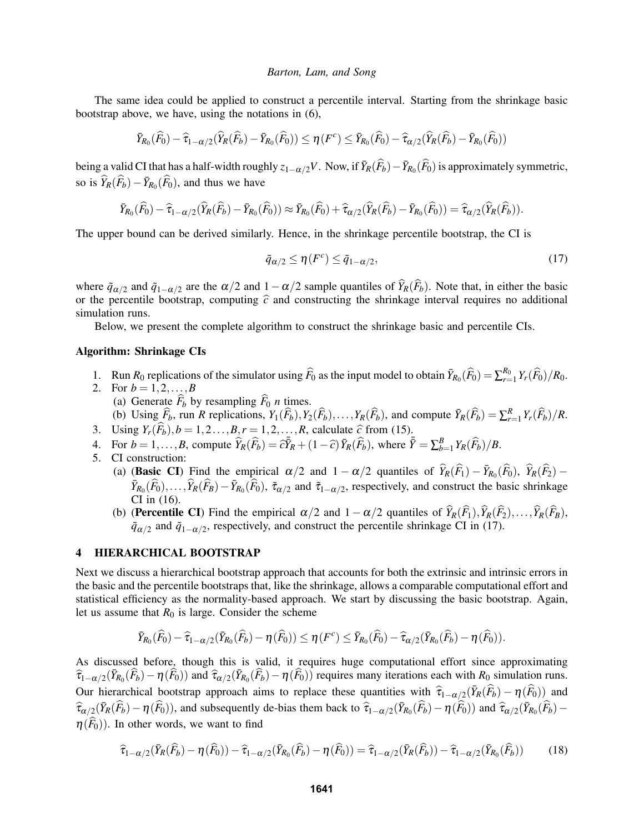The same idea could be applied to construct a percentile interval. Starting from the shrinkage basic bootstrap above, we have, using the notations in (6),

$$
\bar{Y}_{R_0}(\widehat{F}_0) - \widehat{\tau}_{1-\alpha/2}(\widehat{Y}_R(\widehat{F}_b) - \bar{Y}_{R_0}(\widehat{F}_0)) \le \eta(F^c) \le \bar{Y}_{R_0}(\widehat{F}_0) - \widehat{\tau}_{\alpha/2}(\widehat{Y}_R(\widehat{F}_b) - \bar{Y}_{R_0}(\widehat{F}_0))
$$

being a valid CI that has a half-width roughly  $z_{1-\alpha/2}V$ . Now, if  $\bar{Y}_R(\widehat{F}_b) - \bar{Y}_{R_0}(\widehat{F}_0)$  is approximately symmetric, so is  $\widehat{Y}_R(\widehat{F}_b) - \overline{Y}_{R_0}(\widehat{F}_0)$ , and thus we have

$$
\bar{Y}_{R_0}(\widehat{F}_0)-\widehat{\tau}_{1-\alpha/2}(\widehat{Y}_R(\widehat{F}_b)-\bar{Y}_{R_0}(\widehat{F}_0))\approx \bar{Y}_{R_0}(\widehat{F}_0)+\widehat{\tau}_{\alpha/2}(\widehat{Y}_R(\widehat{F}_b)-\bar{Y}_{R_0}(\widehat{F}_0))=\widehat{\tau}_{\alpha/2}(\widehat{Y}_R(\widehat{F}_b)).
$$

The upper bound can be derived similarly. Hence, in the shrinkage percentile bootstrap, the CI is

$$
\tilde{q}_{\alpha/2} \le \eta(F^c) \le \tilde{q}_{1-\alpha/2},\tag{17}
$$

where  $\tilde{q}_{\alpha/2}$  and  $\tilde{q}_{1-\alpha/2}$  are the  $\alpha/2$  and  $1-\alpha/2$  sample quantiles of  $\hat{Y}_R(\hat{F}_b)$ . Note that, in either the basic or the percentile bootstrap, computing  $\hat{c}$  and constructing the shrinkage interval requires no additional simulation runs.

Below, we present the complete algorithm to construct the shrinkage basic and percentile CIs.

#### Algorithm: Shrinkage CIs

- 1. Run  $R_0$  replications of the simulator using  $\widehat{F}_0$  as the input model to obtain  $\overline{Y}_{R_0}(\widehat{F}_0) = \sum_{r=1}^{R_0} Y_r(\widehat{F}_0)/R_0$ .
- 2. For  $b = 1, 2, ..., B$ (a) Generate  $\hat{F}_b$  by resampling  $\hat{F}_0$  *n* times.
- (b) Using  $\widehat{F}_b$ , run R replications,  $Y_1(\widehat{F}_b), Y_2(\widehat{F}_b), \ldots, Y_R(\widehat{F}_b)$ , and compute  $\overline{Y}_R(\widehat{F}_b) = \sum_{r=1}^R Y_r(\widehat{F}_b)/R$ .
- 3. Using  $Y_r(\overline{F_b})$ ,  $b = 1, 2, ..., B, r = 1, 2, ..., R$ , calculate  $\hat{c}$  from (15).
- 4. For  $b = 1, ..., B$ , compute  $\widehat{Y}_R(\widehat{F}_b) = \widehat{c}\overline{Y}_R + (1 \widehat{c})\overline{Y}_R(\widehat{F}_b)$ , where  $\overline{\overline{Y}} = \sum_{b=1}^B Y_R(\widehat{F}_b)/B$ .
- 5. CI construction:
	- (a) (Basic CI) Find the empirical  $\alpha/2$  and  $1 \alpha/2$  quantiles of  $\hat{Y}_R(\hat{F}_1) \bar{Y}_{R_0}(\hat{F}_0)$ ,  $\hat{Y}_R(\hat{F}_2) \hat{Y}_{R_0}(\hat{F}_1)$  $\bar{Y}_{R_0}(\widehat{F}_0), \ldots, \widehat{Y}_R(\widehat{F}_B) - \bar{Y}_{R_0}(\widehat{F}_0)$ ,  $\tilde{\tau}_{\alpha/2}$  and  $\tilde{\tau}_{1-\alpha/2}$ , respectively, and construct the basic shrinkage CI in (16).
	- (b) (**Percentile CI**) Find the empirical  $\alpha/2$  and  $1-\alpha/2$  quantiles of  $\widehat{Y}_R(\widehat{F}_1), \widehat{Y}_R(\widehat{F}_2), \ldots, \widehat{Y}_R(\widehat{F}_B)$ ,  $\tilde{q}_{\alpha/2}$  and  $\tilde{q}_{1-\alpha/2}$ , respectively, and construct the percentile shrinkage CI in (17).

## 4 HIERARCHICAL BOOTSTRAP

Next we discuss a hierarchical bootstrap approach that accounts for both the extrinsic and intrinsic errors in the basic and the percentile bootstraps that, like the shrinkage, allows a comparable computational effort and statistical efficiency as the normality-based approach. We start by discussing the basic bootstrap. Again, let us assume that  $R_0$  is large. Consider the scheme

$$
\bar{Y}_{R_0}(\widehat{F}_0)-\widehat{\tau}_{1-\alpha/2}(\bar{Y}_{R_0}(\widehat{F}_b)-\eta(\widehat{F}_0))\leq \eta(F^c)\leq \bar{Y}_{R_0}(\widehat{F}_0)-\widehat{\tau}_{\alpha/2}(\bar{Y}_{R_0}(\widehat{F}_b)-\eta(\widehat{F}_0)).
$$

As discussed before, though this is valid, it requires huge computational effort since approximating  $\hat{\tau}_{1-\alpha/2}(\bar{Y}_{R_0}(\hat{F}_b)-\eta(\hat{F}_0))$  and  $\hat{\tau}_{\alpha/2}(\bar{Y}_{R_0}(\hat{F}_b)-\eta(\hat{F}_0))$  requires many iterations each with  $R_0$  simulation runs. Our hierarchical bootstrap approach aims to replace these quantities with  $\hat{\tau}_{1-\alpha/2}(\bar{Y}_R(\hat{F}_b) - \eta(\hat{F}_0))$  and  $\hat{\tau}_{\alpha/2}(\bar{Y}_R(\hat{F}_b) - \eta(\hat{F}_0))$ , and subsequently de-bias them back to  $\hat{\tau}_{1-\alpha/2}(\bar{Y}_{R_0}(\hat{F}_b) - \eta(\hat{F}_0))$  and  $\hat{\tau}_{\alpha/2}(\bar{Y}_{R_0}(\hat{F}_b) - \hat{\tau}_{\alpha/2}(\hat{Y}_{R_0}(\hat{F}_b) - \eta(\hat{F}_0))$  $\eta(\widehat{F}_0)$ ). In other words, we want to find

$$
\widehat{\tau}_{1-\alpha/2}(\bar{Y}_R(\widehat{F}_b) - \eta(\widehat{F}_0)) - \widehat{\tau}_{1-\alpha/2}(\bar{Y}_{R_0}(\widehat{F}_b) - \eta(\widehat{F}_0)) = \widehat{\tau}_{1-\alpha/2}(\bar{Y}_R(\widehat{F}_b)) - \widehat{\tau}_{1-\alpha/2}(\bar{Y}_{R_0}(\widehat{F}_b))
$$
(18)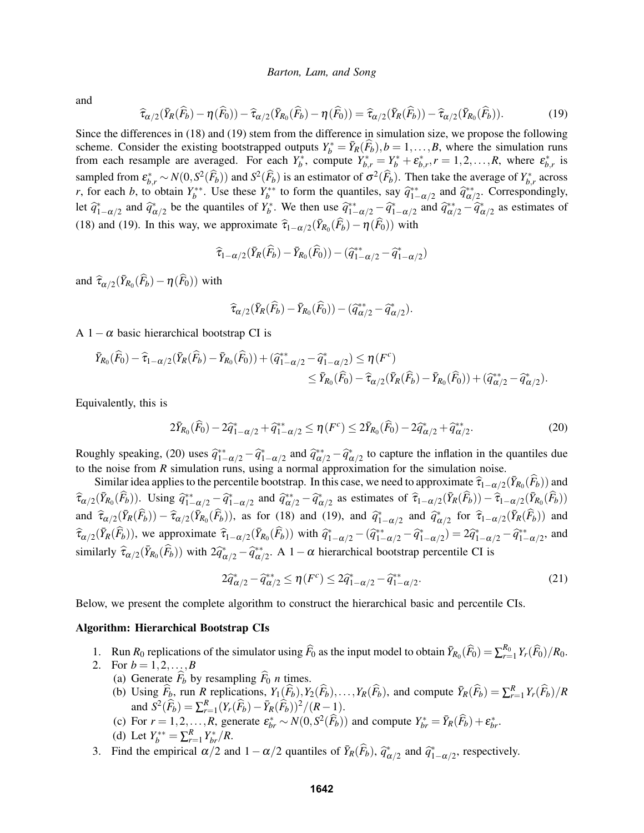and

$$
\widehat{\tau}_{\alpha/2}(\bar{Y}_R(\widehat{F}_b) - \eta(\widehat{F}_0)) - \widehat{\tau}_{\alpha/2}(\bar{Y}_{R_0}(\widehat{F}_b) - \eta(\widehat{F}_0)) = \widehat{\tau}_{\alpha/2}(\bar{Y}_R(\widehat{F}_b)) - \widehat{\tau}_{\alpha/2}(\bar{Y}_{R_0}(\widehat{F}_b)).
$$
\n(19)

Since the differences in (18) and (19) stem from the difference in simulation size, we propose the following scheme. Consider the existing bootstrapped outputs  $Y_b^* = \overline{Y}_R(\widehat{F}_b), b = 1, \ldots, B$ , where the simulation runs from each resample are averaged. For each  $Y_b^*$ , compute  $Y_{b,r}^* = Y_b^* + \varepsilon_{b,r}^*, r = 1, 2, ..., R$ , where  $\varepsilon_{b,r}^*$  is sampled from  $\epsilon_{b,r}^* \sim N(0, S^2(\widehat{F}_b))$  and  $S^2(\widehat{F}_b)$  is an estimator of  $\sigma^2(\widehat{F}_b)$ . Then take the average of  $Y_{b,r}^*$  across *r*, for each *b*, to obtain  $Y_b^{**}$ . Use these  $Y_b^{**}$  to form the quantiles, say  $\hat{q}_{1-\alpha/2}^{**}$  and  $\hat{q}_{\alpha/2}^{**}$ . Correspondingly, let  $\hat{q}_{1-\alpha/2}^*$  and  $\hat{q}_{\alpha/2}^*$  be the quantiles of  $Y_b^*$ . We then use  $\hat{q}_{1-\alpha/2}^{**} - \hat{q}_{1-\alpha/2}^*$  and  $\hat{q}_{\alpha/2}^{**} - \hat{q}_{\alpha/2}^*$  as estimates of (18) and (19). In this way, we approximate  $\hat{\tau}_{1-\alpha/2}(\bar{Y}_{R_0}(\hat{F}_b) - \eta(\hat{F}_0))$  with

$$
\widehat{\tau}_{1-\alpha/2}(\bar{Y}_R(\widehat{F}_b)-\bar{Y}_{R_0}(\widehat{F}_0))-(\widehat{q}_{1-\alpha/2}^{**}-\widehat{q}_{1-\alpha/2}^*)
$$

and  $\widehat{\tau}_{\alpha/2}(\bar{Y}_{R_0}(\widehat{F}_b) - \eta(\widehat{F}_0))$  with

$$
\widehat{\tau}_{\alpha/2}(\bar{Y}_R(\widehat{F}_b)-\bar{Y}_{R_0}(\widehat{F}_0))-(\widehat{q}_{\alpha/2}^{**}-\widehat{q}_{\alpha/2}^*).
$$

A  $1-\alpha$  basic hierarchical bootstrap CI is

$$
\bar{Y}_{R_0}(\widehat{F}_0) - \widehat{\tau}_{1-\alpha/2}(\bar{Y}_R(\widehat{F}_b) - \bar{Y}_{R_0}(\widehat{F}_0)) + (\widehat{q}_{1-\alpha/2}^{**} - \widehat{q}_{1-\alpha/2}^*) \le \eta(F^c) \n\le \bar{Y}_{R_0}(\widehat{F}_0) - \widehat{\tau}_{\alpha/2}(\bar{Y}_R(\widehat{F}_b) - \bar{Y}_{R_0}(\widehat{F}_0)) + (\widehat{q}_{\alpha/2}^{**} - \widehat{q}_{\alpha/2}^*).
$$

Equivalently, this is

$$
2\bar{Y}_{R_0}(\hat{F}_0) - 2\hat{q}_{1-\alpha/2}^* + \hat{q}_{1-\alpha/2}^{**} \le \eta(F^c) \le 2\bar{Y}_{R_0}(\hat{F}_0) - 2\hat{q}_{\alpha/2}^* + \hat{q}_{\alpha/2}^{**}.
$$
\n(20)

Roughly speaking, (20) uses  $\hat{q}_{1-\alpha/2}^{**} - \hat{q}_{1-\alpha/2}^{*}$  and  $\hat{q}_{\alpha/2}^{**} - \hat{q}_{\alpha/2}^{*}$  to capture the inflation in the quantiles due to the noise from *R* simulation runs, using a normal approximation for the simulation noise.

Similar idea applies to the percentile bootstrap. In this case, we need to approximate  $\hat{\tau}_{1-\alpha/2}(\bar{Y}_{R_0}(\hat{F}_b))$  and  $(\hat{\tau}_{R_0}(\hat{F}_b))$  $\hat{\tau}_{\alpha/2}(\bar{Y}_{R_0}(\widehat{F}_b))$ . Using  $\hat{q}_{1-\alpha/2}^{**}-\hat{q}_{1-\alpha/2}^*$  and  $\hat{q}_{\alpha/2}^{**}-\hat{q}_{\alpha/2}^*$  as estimates of  $\hat{\tau}_{1-\alpha/2}(\bar{Y}_R(\widehat{F}_b))-\hat{\tau}_{1-\alpha/2}(\bar{Y}_{R_0}(\widehat{F}_b))$ and  $\hat{\tau}_{\alpha/2}(\bar{Y}_R(\hat{F}_b)) - \hat{\tau}_{\alpha/2}(\bar{Y}_{R_0}(\hat{F}_b))$ , as for (18) and (19), and  $\hat{q}_{1-\alpha/2}^*$  and  $\hat{q}_{\alpha/2}^*$  for  $\hat{\tau}_{1-\alpha/2}(\bar{Y}_R(\hat{F}_b))$  and  $\hat{\tau}_{\alpha/2}(\bar{Y}_R(\hat{F}_b))$ , we approximate  $\hat{\tau}_{1-\alpha/2}(\bar{Y}_{R_0}(\hat{F}_b))$  with  $\hat{q}_{1-\alpha/2}^* - (\hat{q}_{1-\alpha/2}^{*} - \hat{q}_{1-\alpha/2}^{*} - \hat{q}_{1-\alpha/2}^{*} - \hat{q}_{1-\alpha/2}^{*} - \hat{q}_{1-\alpha/2}^{*}$ , and similarly  $\hat{\tau}_{\alpha/2}(\bar{Y}_{R_0}(\hat{F}_b))$  with  $2\hat{q}_{\alpha/2}^* - \hat{q}_{\alpha/2}^{**}$ . A  $1-\alpha$  hierarchical bootstrap percentile CI is

$$
2\hat{q}_{\alpha/2}^* - \hat{q}_{\alpha/2}^{**} \le \eta(F^c) \le 2\hat{q}_{1-\alpha/2}^* - \hat{q}_{1-\alpha/2}^{**}.
$$
\n(21)

Below, we present the complete algorithm to construct the hierarchical basic and percentile CIs.

#### Algorithm: Hierarchical Bootstrap CIs

- 1. Run  $R_0$  replications of the simulator using  $\widehat{F}_0$  as the input model to obtain  $\overline{Y}_{R_0}(\widehat{F}_0) = \sum_{r=1}^{R_0} Y_r(\widehat{F}_0)/R_0$ .
- 
- 2. For  $b = 1, 2, ..., B$ <br>(a) Generate  $\widehat{F}_b$  by resampling  $\widehat{F}_0$  *n* times. (a) Generate  $F_b$  by resampling  $F_0$  *n* times.
	- (b) Using  $\widehat{F}_b$ , run R replications,  $Y_1(\widehat{F}_b), Y_2(\widehat{F}_b), \ldots, Y_R(\widehat{F}_b)$ , and compute  $\overline{Y}_R(\widehat{F}_b) = \sum_{r=1}^R Y_r(\widehat{F}_b)/R$  $\sum_{r=1}^{R} (Y_r(\widehat{F}_b) - \bar{Y}_R(\widehat{F}_b))^2 / (R-1).$
	- (c) For  $r = 1, 2, ..., R$ , generate  $\varepsilon_{br}^* \sim N(0, S^2(\widehat{F}_b))$  and compute  $Y_{br}^* = \overline{Y}_R(\widehat{F}_b) + \varepsilon_{br}^*$ .
	- (d) Let  $Y_b^{**} = \sum_{r=1}^R Y_{br}^*/R$ .
- 3. Find the empirical  $\alpha/2$  and  $1 \alpha/2$  quantiles of  $\bar{Y}_R(\hat{F}_b)$ ,  $\hat{q}_{\alpha/2}^*$  and  $\hat{q}_{1-\alpha/2}^*$ , respectively.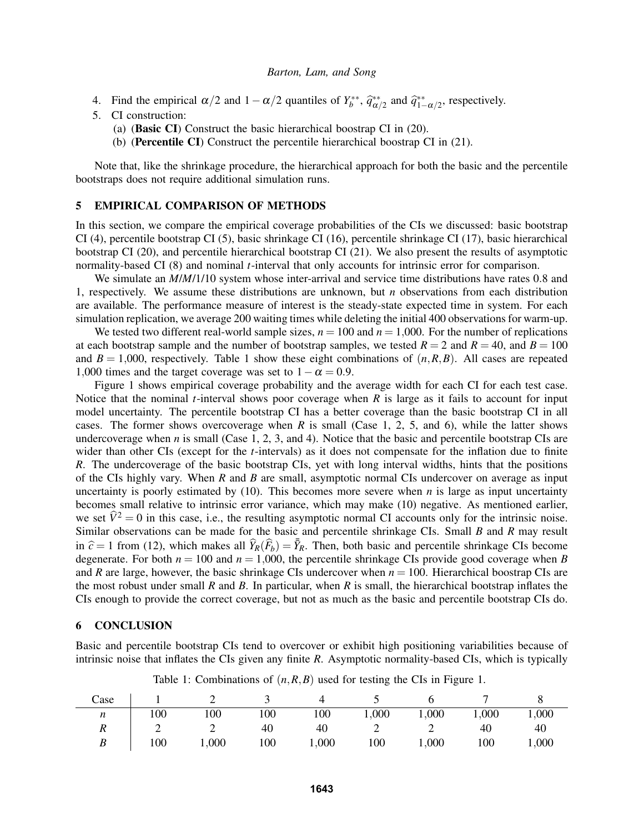- 4. Find the empirical  $\alpha/2$  and  $1-\alpha/2$  quantiles of  $Y_b^{**}$ ,  $\hat{q}_{\alpha/2}^{**}$  and  $\hat{q}_{1-\alpha/2}^{**}$ , respectively.
- 5. CI construction:
	- (a) (Basic CI) Construct the basic hierarchical boostrap CI in (20).
	- (b) (Percentile CI) Construct the percentile hierarchical boostrap CI in (21).

Note that, like the shrinkage procedure, the hierarchical approach for both the basic and the percentile bootstraps does not require additional simulation runs.

## 5 EMPIRICAL COMPARISON OF METHODS

In this section, we compare the empirical coverage probabilities of the CIs we discussed: basic bootstrap CI (4), percentile bootstrap CI (5), basic shrinkage CI (16), percentile shrinkage CI (17), basic hierarchical bootstrap CI (20), and percentile hierarchical bootstrap CI (21). We also present the results of asymptotic normality-based CI (8) and nominal *t*-interval that only accounts for intrinsic error for comparison.

We simulate an  $M/M/1/10$  system whose inter-arrival and service time distributions have rates 0.8 and 1, respectively. We assume these distributions are unknown, but *n* observations from each distribution are available. The performance measure of interest is the steady-state expected time in system. For each simulation replication, we average 200 waiting times while deleting the initial 400 observations for warm-up.

We tested two different real-world sample sizes,  $n = 100$  and  $n = 1,000$ . For the number of replications at each bootstrap sample and the number of bootstrap samples, we tested  $R = 2$  and  $R = 40$ , and  $B = 100$ and  $B = 1,000$ , respectively. Table 1 show these eight combinations of  $(n, R, B)$ . All cases are repeated 1,000 times and the target coverage was set to  $1-\alpha = 0.9$ .

Figure 1 shows empirical coverage probability and the average width for each CI for each test case. Notice that the nominal *t*-interval shows poor coverage when *R* is large as it fails to account for input model uncertainty. The percentile bootstrap CI has a better coverage than the basic bootstrap CI in all cases. The former shows overcoverage when *R* is small (Case 1, 2, 5, and 6), while the latter shows undercoverage when  $n$  is small (Case 1, 2, 3, and 4). Notice that the basic and percentile bootstrap CIs are wider than other CIs (except for the *t*-intervals) as it does not compensate for the inflation due to finite *R*. The undercoverage of the basic bootstrap CIs, yet with long interval widths, hints that the positions of the CIs highly vary. When *R* and *B* are small, asymptotic normal CIs undercover on average as input uncertainty is poorly estimated by  $(10)$ . This becomes more severe when *n* is large as input uncertainty becomes small relative to intrinsic error variance, which may make (10) negative. As mentioned earlier, we set  $\hat{V}^2 = 0$  in this case, i.e., the resulting asymptotic normal CI accounts only for the intrinsic noise. Similar observations can be made for the basic and percentile shrinkage CIs. Small *B* and *R* may result in  $\hat{c} = 1$  from (12), which makes all  $\hat{Y}_R(\hat{F}_b) = \bar{Y}_R$ . Then, both basic and percentile shrinkage CIs become<br>degenerate. For both  $n = 100$  and  $n = 1,000$ , the percentile shrinkage CIs provide good coverage when B degenerate. For both  $n = 100$  and  $n = 1,000$ , the percentile shrinkage CIs provide good coverage when *B* and *R* are large, however, the basic shrinkage CIs undercover when  $n = 100$ . Hierarchical boostrap CIs are the most robust under small *R* and *B*. In particular, when *R* is small, the hierarchical bootstrap inflates the CIs enough to provide the correct coverage, but not as much as the basic and percentile bootstrap CIs do.

# 6 CONCLUSION

Basic and percentile bootstrap CIs tend to overcover or exhibit high positioning variabilities because of intrinsic noise that inflates the CIs given any finite *R*. Asymptotic normality-based CIs, which is typically

| Case             |     |       |     |       |       |       |       |       |
|------------------|-----|-------|-----|-------|-------|-------|-------|-------|
| n                | 100 | 100   | 100 | 100   | 1,000 | 1,000 | 1,000 | 1,000 |
|                  |     |       | 40  | 40    |       |       | 40    | 40    |
| $\boldsymbol{B}$ | 100 | 1,000 | 100 | 1,000 | 100   | 1,000 | 100   | 1,000 |

Table 1: Combinations of  $(n, R, B)$  used for testing the CIs in Figure 1.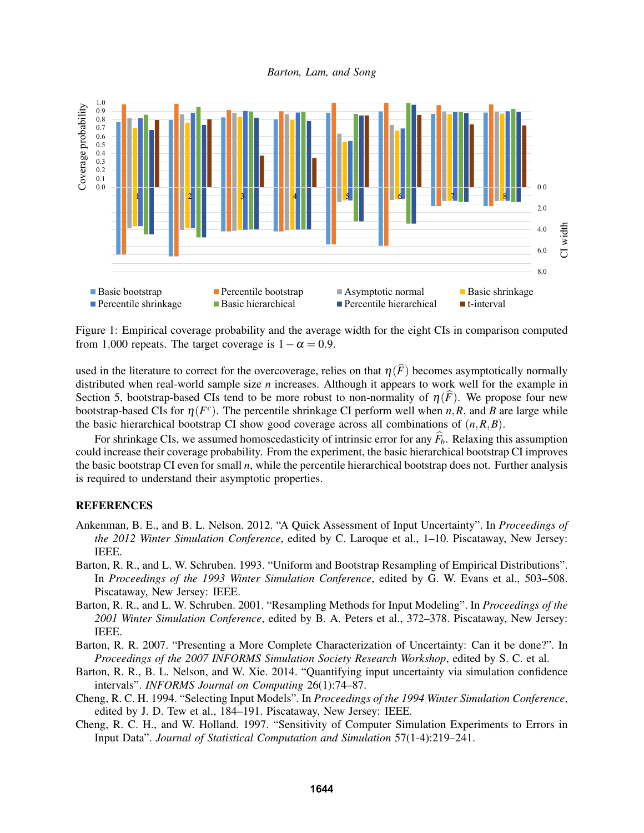*Barton, Lam, and Song*



Figure 1: Empirical coverage probability and the average width for the eight CIs in comparison computed from 1,000 repeats. The target coverage is  $1-\alpha = 0.9$ .

used in the literature to correct for the overcoverage, relies on that  $\eta(\widehat{F})$  becomes asymptotically normally distributed when real-world sample size *n* increases. Although it appears to work well for the example in Section 5, bootstrap-based CIs tend to be more robust to non-normality of  $\eta(F)$ . We propose four new bootstrap-based CIs for  $\eta(F^c)$ . The percentile shrinkage CI perform well when *n*,*R*, and *B* are large while the basic hierarchical bootstrap CI show good coverage across all combinations of (*n*,*R*,*B*).

For shrinkage CIs, we assumed homoscedasticity of intrinsic error for any  $\vec{F}_b$ . Relaxing this assumption could increase their coverage probability. From the experiment, the basic hierarchical bootstrap CI improves the basic bootstrap CI even for small *n*, while the percentile hierarchical bootstrap does not. Further analysis is required to understand their asymptotic properties.

# REFERENCES

- Ankenman, B. E., and B. L. Nelson. 2012. "A Quick Assessment of Input Uncertainty". In *Proceedings of the 2012 Winter Simulation Conference*, edited by C. Laroque et al., 1–10. Piscataway, New Jersey: IEEE.
- Barton, R. R., and L. W. Schruben. 1993. "Uniform and Bootstrap Resampling of Empirical Distributions". In *Proceedings of the 1993 Winter Simulation Conference*, edited by G. W. Evans et al., 503–508. Piscataway, New Jersey: IEEE.
- Barton, R. R., and L. W. Schruben. 2001. "Resampling Methods for Input Modeling". In *Proceedings of the 2001 Winter Simulation Conference*, edited by B. A. Peters et al., 372–378. Piscataway, New Jersey: IEEE.
- Barton, R. R. 2007. "Presenting a More Complete Characterization of Uncertainty: Can it be done?". In *Proceedings of the 2007 INFORMS Simulation Society Research Workshop*, edited by S. C. et al.
- Barton, R. R., B. L. Nelson, and W. Xie. 2014. "Quantifying input uncertainty via simulation confidence intervals". *INFORMS Journal on Computing* 26(1):74–87.
- Cheng, R. C. H. 1994. "Selecting Input Models". In *Proceedings of the 1994 Winter Simulation Conference*, edited by J. D. Tew et al., 184–191. Piscataway, New Jersey: IEEE.
- Cheng, R. C. H., and W. Holland. 1997. "Sensitivity of Computer Simulation Experiments to Errors in Input Data". *Journal of Statistical Computation and Simulation* 57(1-4):219–241.